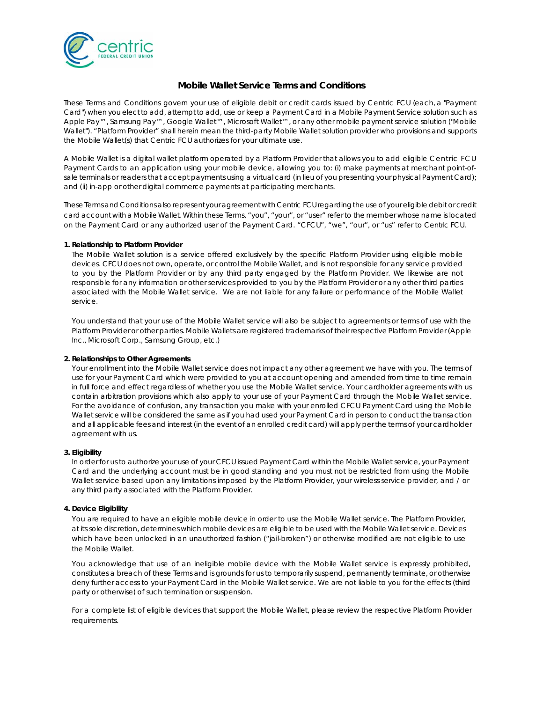

# **Mobile Wallet Service Terms and Conditions**

These Terms and Conditions govern your use of eligible debit or credit cards issued by Centric FCU (each, a "Payment Card") when you elect to add, attempt to add, use or keep a Payment Card in a Mobile Payment Service solution such as Apple Pay™, Samsung Pay™, Google Wallet™, Microsoft Wallet™, or any other mobile payment service solution ("Mobile Wallet"). "Platform Provider" shall herein mean the third-party Mobile Wallet solution provider who provisions and supports the Mobile Wallet(s) that Centric FCU authorizes for your ultimate use.

A Mobile Wallet is a digital wallet platform operated by a Platform Provider that allows you to add eligible Centric FCU Payment Cards to an application using your mobile device, allowing you to: (i) make payments at merchant point-ofsale terminals or readers that accept payments using a virtual card (in lieu of you presenting your physical Payment Card); and (ii) in-app or other digital commerce payments at participating merchants.

These Terms and Conditions also represent your agreement with Centric FCU regarding the use of your eligible debit or credit card account with a Mobile Wallet. Within these Terms, "you", "your", or "user" refer to the member whose name is located on the Payment Card or any authorized user of the Payment Card. "CFCU", "we", "our", or "us" refer to Centric FCU.

## **1. Relationship to Platform Provider**

The Mobile Wallet solution is a service offered exclusively by the specific Platform Provider using eligible mobile devices. CFCU does not own, operate, or control the Mobile Wallet, and is not responsible for any service provided to you by the Platform Provider or by any third party engaged by the Platform Provider. We likewise are not responsible for any information or other services provided to you by the Platform Provider or any other third parties associated with the Mobile Wallet service. We are not liable for any failure or performance of the Mobile Wallet service.

You understand that your use of the Mobile Wallet service will also be subject to agreements or terms of use with the Platform Provider or other parties. Mobile Wallets are registered trademarks of their respective Platform Provider (Apple Inc., Microsoft Corp., Samsung Group, etc.)

#### **2. Relationships to Other Agreements**

Your enrollment into the Mobile Wallet service does not impact any other agreement we have with you. The terms of use for your Payment Card which were provided to you at account opening and amended from time to time remain in full force and effect regardless of whether you use the Mobile Wallet service. Your cardholder agreements with us contain arbitration provisions which also apply to your use of your Payment Card through the Mobile Wallet service. For the avoidance of confusion, any transaction you make with your enrolled CFCU Payment Card using the Mobile Wallet service will be considered the same as if you had used your Payment Card in person to conduct the transaction and all applicable fees and interest (in the event of an enrolled credit card) will apply per the terms of your cardholder agreement with us.

## **3. Eligibility**

In order for us to authorize your use of your CFCU issued Payment Card within the Mobile Wallet service, your Payment Card and the underlying account must be in good standing and you must not be restricted from using the Mobile Wallet service based upon any limitations imposed by the Platform Provider, your wireless service provider, and / or any third party associated with the Platform Provider.

#### **4. Device Eligibility**

You are required to have an eligible mobile device in order to use the Mobile Wallet service. The Platform Provider, at its sole discretion, determines which mobile devices are eligible to be used with the Mobile Wallet service. Devices which have been unlocked in an unauthorized fashion ("jail-broken") or otherwise modified are not eligible to use the Mobile Wallet.

You acknowledge that use of an ineligible mobile device with the Mobile Wallet service is expressly prohibited, constitutes a breach of these Terms and is grounds for us to temporarily suspend, permanently terminate, or otherwise deny further access to your Payment Card in the Mobile Wallet service. We are not liable to you for the effects (third party or otherwise) of such termination or suspension.

For a complete list of eligible devices that support the Mobile Wallet, please review the respective Platform Provider requirements.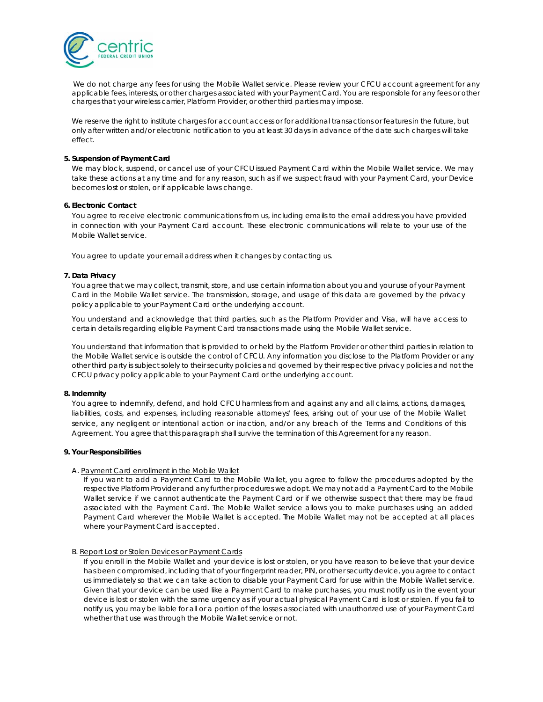

We do not charge any fees for using the Mobile Wallet service. Please review your CFCU account agreement for any applicable fees, interests, or other charges associated with your Payment Card. You are responsible for any fees or other charges that your wireless carrier, Platform Provider, or other third parties may impose.

We reserve the right to institute charges for account access or for additional transactions or features in the future, but only after written and/or electronic notification to you at least 30 days in advance of the date such charges will take effect.

### **5. Suspension of Payment Card**

We may block, suspend, or cancel use of your CFCU issued Payment Card within the Mobile Wallet service. We may take these actions at any time and for any reason, such as if we suspect fraud with your Payment Card, your Device becomes lost or stolen, or if applicable laws change.

## **6. Electronic Contact**

You agree to receive electronic communications from us, including emails to the email address you have provided in connection with your Payment Card account. These electronic communications will relate to your use of the Mobile Wallet service.

You agree to update your email address when it changes by contacting us.

## **7. Data Privacy**

You agree that we may collect, transmit, store, and use certain information about you and your use of your Payment Card in the Mobile Wallet service. The transmission, storage, and usage of this data are governed by the privacy policy applicable to your Payment Card or the underlying account.

You understand and acknowledge that third parties, such as the Platform Provider and Visa, will have access to certain details regarding eligible Payment Card transactions made using the Mobile Wallet service.

You understand that information that is provided to or held by the Platform Provider or other third parties in relation to the Mobile Wallet service is outside the control of CFCU. Any information you disclose to the Platform Provider or any other third party is subject solely to their security policies and governed by their respective privacy policies and not the CFCU privacy policy applicable to your Payment Card or the underlying account.

### **8. Indemnity**

You agree to indemnify, defend, and hold CFCU harmless from and against any and all claims, actions, damages, liabilities, costs, and expenses, including reasonable attorneys' fees, arising out of your use of the Mobile Wallet service, any negligent or intentional action or inaction, and/or any breach of the Terms and Conditions of this Agreement. You agree that this paragraph shall survive the termination of this Agreement for any reason.

#### **9. Your Responsibilities**

## A. Payment Card enrollment in the Mobile Wallet

If you want to add a Payment Card to the Mobile Wallet, you agree to follow the procedures adopted by the respective Platform Provider and any further procedures we adopt. We may not add a Payment Card to the Mobile Wallet service if we cannot authenticate the Payment Card or if we otherwise suspect that there may be fraud associated with the Payment Card. The Mobile Wallet service allows you to make purchases using an added Payment Card wherever the Mobile Wallet is accepted. The Mobile Wallet may not be accepted at all places where your Payment Card is accepted.

#### B. Report Lost or Stolen Devices or Payment Cards

If you enroll in the Mobile Wallet and your device is lost or stolen, or you have reason to believe that your device has been compromised, including that of your fingerprint reader, PIN, or other security device, you agree to contact us immediately so that we can take action to disable your Payment Card for use within the Mobile Wallet service. Given that your device can be used like a Payment Card to make purchases, you must notify us in the event your device is lost or stolen with the same urgency as if your actual physical Payment Card is lost or stolen. If you fail to notify us, you may be liable for all or a portion of the losses associated with unauthorized use of your Payment Card whether that use was through the Mobile Wallet service or not.